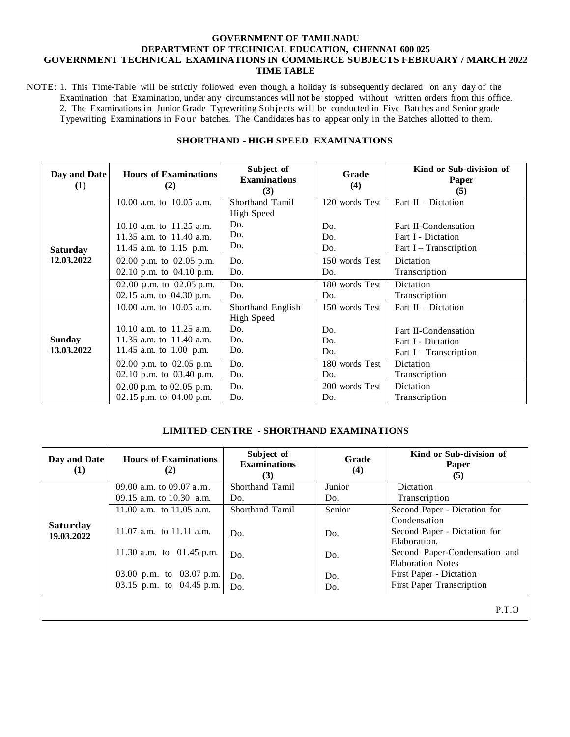#### **GOVERNMENT OF TAMILNADU DEPARTMENT OF TECHNICAL EDUCATION, CHENNAI 600 025 GOVERNMENT TECHNICAL EXAMINATIONS IN COMMERCE SUBJECTS FEBRUARY / MARCH 2022 TIME TABLE**

NOTE: 1. This Time-Table will be strictly followed even though, a holiday is subsequently declared on any day of the Examination that Examination, under any circumstances will not be stopped without written orders from this office. 2. The Examinations in Junior Grade Typewriting Subjects will be conducted in Five Batches and Senior grade Typewriting Examinations in Four batches. The Candidates has to appear only in the Batches allotted to them.

| Day and Date<br>(1) | <b>Hours of Examinations</b><br>(2) | Subject of<br><b>Examinations</b><br>(3) | Grade<br>(4)   | Kind or Sub-division of<br>Paper<br>(5) |
|---------------------|-------------------------------------|------------------------------------------|----------------|-----------------------------------------|
|                     | 10.00 a.m. to 10.05 a.m.            | Shorthand Tamil                          | 120 words Test | Part $II$ – Dictation                   |
|                     |                                     | High Speed                               |                |                                         |
|                     | 10.10 a.m. to $11.25$ a.m.          | Do.                                      | Do.            | Part II-Condensation                    |
|                     | 11.35 a.m. to $11.40$ a.m.          | Do.                                      | Do.            | Part I - Dictation                      |
| <b>Saturday</b>     | 11.45 a.m. to 1.15 p.m.             | Do.                                      | Do.            | Part $I - T$ ranscription               |
| 12.03.2022          | 02.00 p.m. to 02.05 p.m.            | Do.                                      | 150 words Test | Dictation                               |
|                     | 02.10 p.m. to $04.10$ p.m.          | Do.                                      | Do.            | Transcription                           |
|                     | 02.00 p.m. to $02.05$ p.m.          | Do.                                      | 180 words Test | Dictation                               |
|                     | 02.15 a.m. to $04.30$ p.m.          | Do.                                      | Do.            | Transcription                           |
|                     | 10.00 a.m. to $10.05$ a.m.          | Shorthand English                        | 150 words Test | Part $II$ – Dictation                   |
|                     |                                     | High Speed                               |                |                                         |
|                     | 10.10 a.m. to 11.25 a.m.            | Do.                                      | Do.            | Part II-Condensation                    |
| <b>Sunday</b>       | 11.35 a.m. to $11.40$ a.m.          | Do.                                      | Do.            | Part I - Dictation                      |
| 13.03.2022          | 11.45 a.m. to 1.00 p.m.             | Do.                                      | Do.            | Part I – Transcription                  |
|                     | 02.00 p.m. to 02.05 p.m.            | Do.                                      | 180 words Test | Dictation                               |
|                     | 02.10 p.m. to $03.40$ p.m.          | Do.                                      | Do.            | Transcription                           |
|                     | 02.00 p.m. to 02.05 p.m.            | Do.                                      | 200 words Test | Dictation                               |
|                     | 02.15 p.m. to $04.00$ p.m.          | Do.                                      | Do.            | Transcription                           |

### **SHORTHAND - HIGH SPEED EXAMINATIONS**

### **LIMITED CENTRE - SHORTHAND EXAMINATIONS**

| Day and Date<br>$\bf{(1)}$ | <b>Hours of Examinations</b><br>(2) | Subject of<br><b>Examinations</b><br>(3) | Grade<br>(4) | Kind or Sub-division of<br>Paper<br>(5) |
|----------------------------|-------------------------------------|------------------------------------------|--------------|-----------------------------------------|
|                            | 09.00 a.m. to 09.07 a.m.            | Shorthand Tamil                          | Junior       | Dictation                               |
|                            | 09.15 a.m. to $10.30$ a.m.          | Do.                                      | Do.          | Transcription                           |
|                            | 11.00 a.m. to $11.05$ a.m.          | Shorthand Tamil                          | Senior       | Second Paper - Dictation for            |
| Saturday                   |                                     |                                          |              | Condensation                            |
| 19.03.2022                 | 11.07 a.m. to 11.11 a.m.            | Do.                                      | Do.          | Second Paper - Dictation for            |
|                            |                                     |                                          |              | Elaboration.                            |
|                            | 11.30 a.m. to 01.45 p.m.            | Do.                                      | Do.          | Second Paper-Condensation and           |
|                            |                                     |                                          |              | <b>Elaboration Notes</b>                |
|                            | 03.00 p.m. to 03.07 p.m.            | Do.                                      | Do.          | First Paper - Dictation                 |
|                            | 03.15 p.m. to $04.45$ p.m.          | Do.                                      | Do.          | <b>First Paper Transcription</b>        |
|                            |                                     |                                          |              |                                         |

P.T.O